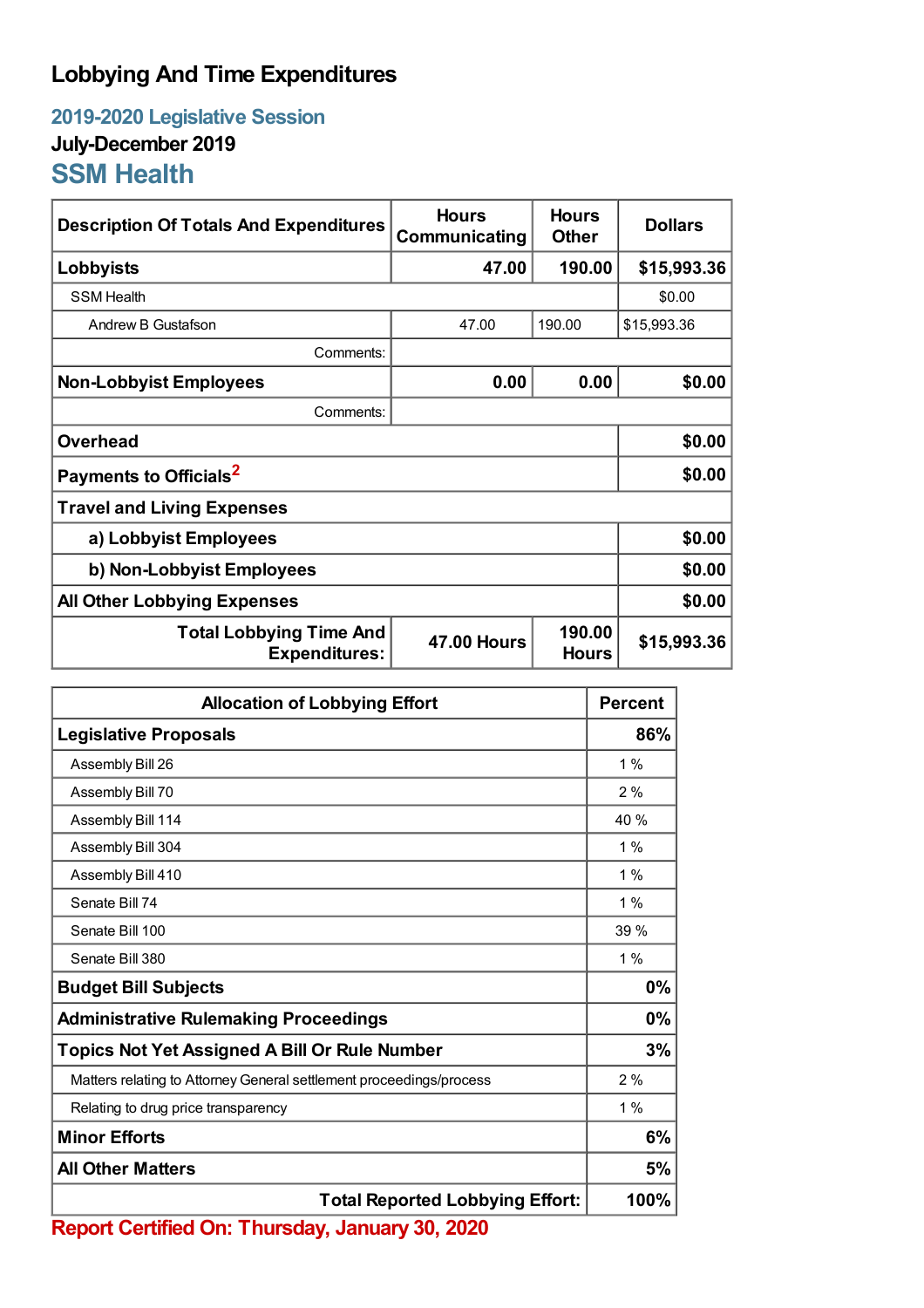## **Lobbying And Time Expenditures**

**2019-2020 Legislative Session July-December 2019 SSM Health**

| <b>Description Of Totals And Expenditures</b>          | <b>Hours</b><br>Communicating | <b>Hours</b><br><b>Other</b> | <b>Dollars</b> |  |
|--------------------------------------------------------|-------------------------------|------------------------------|----------------|--|
| Lobbyists                                              | 47.00                         | 190.00                       | \$15,993.36    |  |
| <b>SSM Health</b>                                      |                               |                              | \$0.00         |  |
| Andrew B Gustafson                                     | 47.00                         | 190.00                       | \$15,993.36    |  |
| Comments:                                              |                               |                              |                |  |
| <b>Non-Lobbyist Employees</b>                          | 0.00                          | 0.00                         | \$0.00         |  |
| Comments:                                              |                               |                              |                |  |
| <b>Overhead</b>                                        |                               |                              | \$0.00         |  |
| Payments to Officials <sup>2</sup>                     |                               |                              | \$0.00         |  |
| <b>Travel and Living Expenses</b>                      |                               |                              |                |  |
| a) Lobbyist Employees                                  |                               |                              | \$0.00         |  |
| b) Non-Lobbyist Employees                              |                               |                              | \$0.00         |  |
| <b>All Other Lobbying Expenses</b>                     |                               |                              | \$0.00         |  |
| <b>Total Lobbying Time And</b><br><b>Expenditures:</b> | <b>47.00 Hours</b>            | 190.00<br><b>Hours</b>       | \$15,993.36    |  |

| <b>Allocation of Lobbying Effort</b>                                |       |
|---------------------------------------------------------------------|-------|
| <b>Legislative Proposals</b>                                        |       |
| Assembly Bill 26                                                    | $1\%$ |
| Assembly Bill 70                                                    | 2%    |
| Assembly Bill 114                                                   | 40 %  |
| Assembly Bill 304                                                   | $1\%$ |
| Assembly Bill 410                                                   | $1\%$ |
| Senate Bill 74                                                      | $1\%$ |
| Senate Bill 100                                                     | 39%   |
| Senate Bill 380                                                     | 1%    |
| <b>Budget Bill Subjects</b>                                         | 0%    |
| <b>Administrative Rulemaking Proceedings</b>                        |       |
| <b>Topics Not Yet Assigned A Bill Or Rule Number</b>                |       |
| Matters relating to Attorney General settlement proceedings/process | 2%    |
| Relating to drug price transparency                                 | $1\%$ |
| <b>Minor Efforts</b>                                                | 6%    |
| <b>All Other Matters</b>                                            | 5%    |
| <b>Total Reported Lobbying Effort:</b>                              |       |

**Report Certified On: Thursday, January 30, 2020**